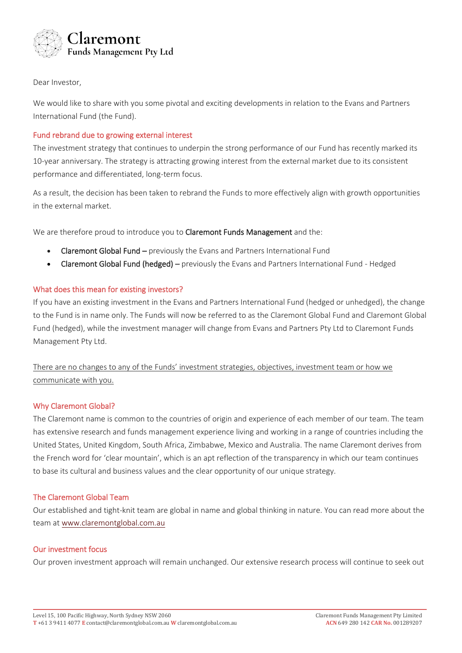

Dear Investor,

We would like to share with you some pivotal and exciting developments in relation to the Evans and Partners International Fund (the Fund).

### Fund rebrand due to growing external interest

The investment strategy that continues to underpin the strong performance of our Fund has recently marked its 10-year anniversary. The strategy is attracting growing interest from the external market due to its consistent performance and differentiated, long-term focus.

As a result, the decision has been taken to rebrand the Funds to more effectively align with growth opportunities in the external market.

We are therefore proud to introduce you to Claremont Funds Management and the:

- Claremont Global Fund previously the Evans and Partners International Fund
- Claremont Global Fund (hedged) previously the Evans and Partners International Fund Hedged

#### What does this mean for existing investors?

If you have an existing investment in the Evans and Partners International Fund (hedged or unhedged), the change to the Fund is in name only. The Funds will now be referred to as the Claremont Global Fund and Claremont Global Fund (hedged), while the investment manager will change from Evans and Partners Pty Ltd to Claremont Funds Management Pty Ltd.

# There are no changes to any of the Funds' investment strategies, objectives, investment team or how we communicate with you.

#### Why Claremont Global?

The Claremont name is common to the countries of origin and experience of each member of our team. The team has extensive research and funds management experience living and working in a range of countries including the United States, United Kingdom, South Africa, Zimbabwe, Mexico and Australia. The name Claremont derives from the French word for 'clear mountain', which is an apt reflection of the transparency in which our team continues to base its cultural and business values and the clear opportunity of our unique strategy.

#### The Claremont Global Team

Our established and tight-knit team are global in name and global thinking in nature. You can read more about the team at [www.claremontglobal.com.au](http://www.claremontglobal.com.au/)

#### Our investment focus

Our proven investment approach will remain unchanged. Our extensive research process will continue to seek out